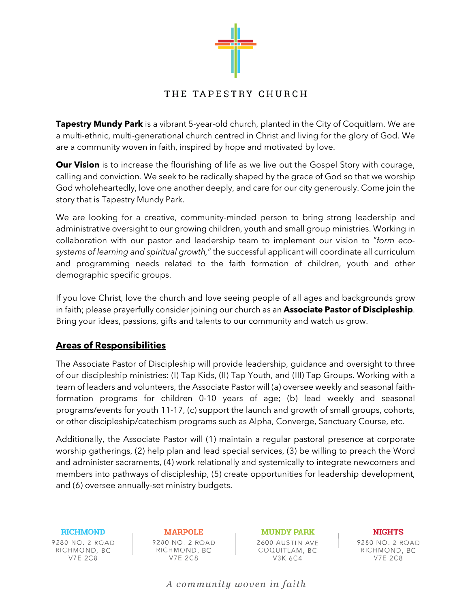

# THE TAPESTRY CHURCH

**Tapestry Mundy Park** is a vibrant 5-year-old church, planted in the City of Coquitlam. We are a multi-ethnic, multi-generational church centred in Christ and living for the glory of God. We are a community woven in faith, inspired by hope and motivated by love.

**Our Vision** is to increase the flourishing of life as we live out the Gospel Story with courage, calling and conviction. We seek to be radically shaped by the grace of God so that we worship God wholeheartedly, love one another deeply, and care for our city generously. Come join the story that is Tapestry Mundy Park.

We are looking for a creative, community-minded person to bring strong leadership and administrative oversight to our growing children, youth and small group ministries. Working in collaboration with our pastor and leadership team to implement our vision to "*form ecosystems of learning and spiritual growth,*" the successful applicant will coordinate all curriculum and programming needs related to the faith formation of children, youth and other demographic specific groups.

If you love Christ, love the church and love seeing people of all ages and backgrounds grow in faith; please prayerfully consider joining our church as an **Associate Pastor of Discipleship**. Bring your ideas, passions, gifts and talents to our community and watch us grow.

## **Areas of Responsibilities**

The Associate Pastor of Discipleship will provide leadership, guidance and oversight to three of our discipleship ministries: (I) Tap Kids, (II) Tap Youth, and (III) Tap Groups. Working with a team of leaders and volunteers, the Associate Pastor will (a) oversee weekly and seasonal faithformation programs for children 0-10 years of age; (b) lead weekly and seasonal programs/events for youth 11-17, (c) support the launch and growth of small groups, cohorts, or other discipleship/catechism programs such as Alpha, Converge, Sanctuary Course, etc.

Additionally, the Associate Pastor will (1) maintain a regular pastoral presence at corporate worship gatherings, (2) help plan and lead special services, (3) be willing to preach the Word and administer sacraments, (4) work relationally and systemically to integrate newcomers and members into pathways of discipleship, (5) create opportunities for leadership development, and (6) oversee annually-set ministry budgets.

**RICHMOND** 9280 NO. 2 ROAD RICHMOND, BC **V7E 2C8** 

**MARPOLE** 9280 NO. 2 ROAD RICHMOND, BC **V7E 2C8** 

**MUNDY PARK** 2600 AUSTIN AVE COQUITLAM, BC V3K 6C4

**NIGHTS** 9280 NO. 2 ROAD RICHMOND, BC **V7E 2C8** 

A community woven in faith